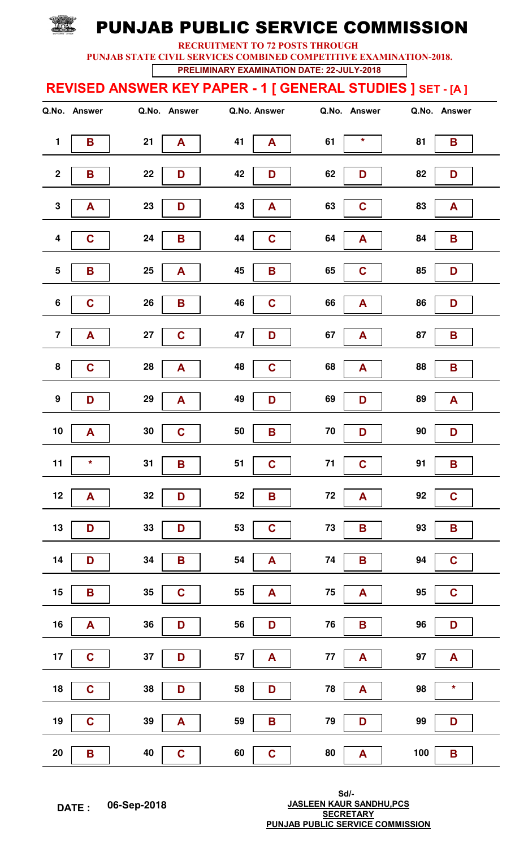RECRUITMENT TO 72 POSTS THROUGH

PUNJAB STATE CIVIL SERVICES COMBINED COMPETITIVE EXAMINATION-2018.

PRELIMINARY EXAMINATION DATE: 22-JULY-2018

### REVISED ANSWER KEY PAPER - 1 [ GENERAL STUDIES ] SET - [A ]

|                         | Q.No. Answer | Q.No. Answer                     | Q.No. Answer              | Q.No. Answer               | Q.No. Answer           |
|-------------------------|--------------|----------------------------------|---------------------------|----------------------------|------------------------|
| $\mathbf{1}$            | B            | 21<br>$\mathbf{A}$               | 41<br>A                   | $\star$<br>61              | 81<br>B                |
| $\mathbf 2$             | B            | 22<br>D                          | 42<br>D                   | 62<br>D                    | 82<br>D                |
| ${\bf 3}$               | A            | 23<br>D                          | 43<br>A                   | 63<br>$\mathbf C$          | 83<br>A                |
| $\overline{\mathbf{4}}$ | $\mathbf C$  | 24<br>B                          | 44<br>$\mathbf C$         | 64<br>A                    | 84<br>B                |
| ${\bf 5}$               | B            | $25\phantom{.0}$<br>$\mathbf{A}$ | 45<br>$\mathbf B$         | 65<br>$\mathbf C$          | 85<br>D                |
| $\bf 6$                 | $\mathbf C$  | ${\bf 26}$<br>B                  | 46<br>$\mathbf C$         | 66<br>A                    | 86<br>D                |
| $\overline{\mathbf{7}}$ | A            | 27<br>$\mathbf C$                | 47<br>D                   | 67<br>${\bf A}$            | 87<br>B                |
| 8                       | $\mathbf C$  | ${\bf 28}$<br>A                  | 48<br>$\mathbf C$         | 68<br>${\bf A}$            | 88<br>B                |
| $\boldsymbol{9}$        | D            | 29<br>$\blacktriangle$           | 49<br>D                   | 69<br>D                    | 89<br>A                |
| 10                      | A            | $30\,$<br>$\mathbf C$            | ${\bf 50}$<br>$\mathbf B$ | 70<br>D                    | $90\,$<br>D            |
| 11                      | $\star$      | 31<br>B                          | $\mathbf C$<br>51         | $\mathbf C$<br>$71$        | 91<br>B                |
| 12                      | A            | 32<br>D                          | 52<br>$\mathbf B$         | ${\bf 72}$<br>A            | 92<br>$\mathbf C$      |
| $13$                    | D            | 33<br>D                          | 53<br>$\mathbf C$         | $73\,$<br>B                | 93<br>B                |
| 14                      | D            | 34<br>$\, {\bf B}$               | 54<br>$\mathbf{A}$        | 74<br>B                    | 94<br>$\mathbf C$      |
| 15                      | B            | $\mathbf C$<br>$35\,$            | 55<br>${\bf A}$           | ${\bf 75}$<br>$\mathbf{A}$ | 95<br>$\mathbf C$      |
| $16\,$                  | A            | ${\bf 36}$<br>D                  | 56<br>D                   | ${\bf 76}$<br>B            | 96<br>D                |
| 17                      | $\mathbf C$  | 37<br>D                          | 57<br>$\blacktriangle$    | 77<br>$\blacktriangle$     | 97<br>$\blacktriangle$ |
| 18                      | $\mathbf C$  | ${\bf 38}$<br>D                  | 58<br>D                   | 78<br>A                    | 98<br>$\star$          |
| 19                      | $\mathbf C$  | 39<br>$\blacktriangle$           | 59<br>$\mathbf B$         | 79<br>D                    | 99<br>D                |
| $20\,$                  | B            | 40<br>$\mathbf c$                | 60<br>$\mathbf C$         | 80<br>A                    | 100<br>B               |

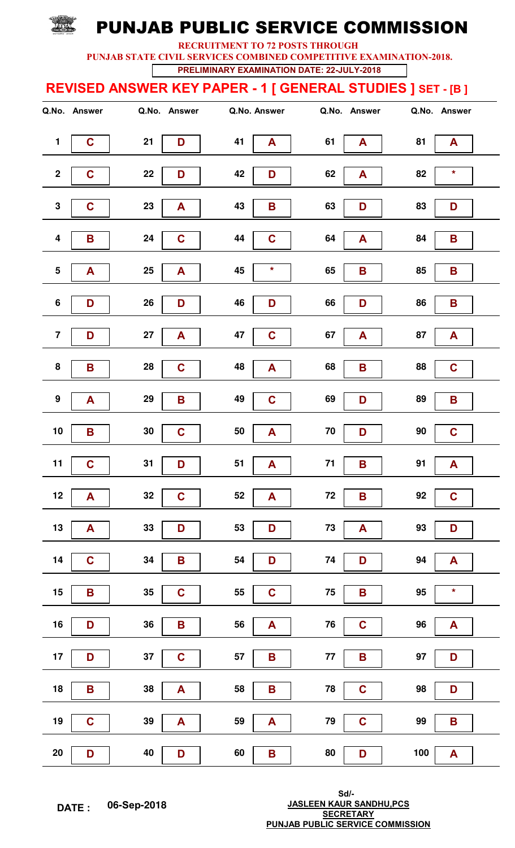RECRUITMENT TO 72 POSTS THROUGH

PUNJAB STATE CIVIL SERVICES COMBINED COMPETITIVE EXAMINATION-2018.

PRELIMINARY EXAMINATION DATE: 22-JULY-2018

### REVISED ANSWER KEY PAPER - 1 [ GENERAL STUDIES ] SET - [B ]

|                         | Q.No. Answer | Q.No. Answer              | Q.No. Answer       | Q.No. Answer                   | Q.No. Answer                  |
|-------------------------|--------------|---------------------------|--------------------|--------------------------------|-------------------------------|
| $\mathbf{1}$            | $\mathbf C$  | 21<br>D                   | 41<br>A            | 61<br>$\blacktriangle$         | 81<br>A                       |
| $\mathbf 2$             | $\mathbf C$  | 22<br>D                   | 42<br>D            | 62<br>A                        | 82<br>$\star$                 |
| ${\bf 3}$               | $\mathbf C$  | 23<br>$\blacktriangle$    | 43<br>$\mathbf B$  | 63<br>D                        | 83<br>D                       |
| 4                       | B            | 24<br>$\mathbf C$         | 44<br>$\mathbf C$  | 64<br>$\mathbf{A}$             | 84<br>B                       |
| ${\bf 5}$               | A            | $25\phantom{.0}$<br>A     | 45<br>$\star$      | 65<br>B                        | 85<br>$\mathbf B$             |
| 6                       | D            | ${\bf 26}$<br>D           | 46<br>D            | 66<br>D                        | 86<br>B                       |
| $\overline{\mathbf{7}}$ | D            | $27\,$<br>A               | 47<br>$\mathbf C$  | 67<br>${\bf A}$                | 87<br>A                       |
| 8                       | B            | ${\bf 28}$<br>$\mathbf C$ | 48<br>A            | 68<br>B                        | 88<br>$\mathbf C$             |
| $\boldsymbol{9}$        | A            | 29<br>$\mathbf B$         | $\mathbf C$<br>49  | 69<br>D                        | 89<br>B                       |
| $10$                    | B            | $30\,$<br>$\mathbf C$     | 50<br>A            | 70<br>D                        | $90\,$<br>$\mathbf C$         |
| 11                      | $\mathbf C$  | 31<br>D                   | 51<br>A            | $71$<br>B                      | 91<br>A                       |
| $12$                    | A            | 32<br>$\mathbf C$         | 52<br>A            | ${\bf 72}$<br>B                | 92<br>$\mathbf C$             |
| $13$                    | A            | 33<br>D                   | 53<br>D            | ${\bf 73}$<br>$\blacktriangle$ | 93<br>D                       |
| 14                      | $\mathbf C$  | 34<br>B                   | 54<br>D            | 74<br>D                        | 94<br>A                       |
| 15                      | B            | 35<br>$\mathbf C$         | 55<br>$\mathbf C$  | ${\bf 75}$<br>B                | 95<br>$\star$                 |
| $16$                    | D            | $36\,$<br>B               | 56<br>A            | ${\bf 76}$<br>$\mathbf C$      | 96<br>$\mathbf{A}$            |
| 17                      | D            | 37<br>$\mathbf C$         | 57<br>$\mathbf B$  | 77<br>B                        | 97<br>D                       |
| ${\bf 18}$              | B            | ${\bf 38}$<br>A           | 58<br>$\mathbf B$  | 78<br>$\mathbf C$              | 98<br>D                       |
| 19                      | $\mathbf C$  | $39$<br>$\blacktriangle$  | 59<br>$\mathbf{A}$ | 79<br>$\mathbf C$              | 99<br>$\overline{\mathbf{B}}$ |
| ${\bf 20}$              | D            | 40<br>D                   | 60<br>$\mathbf B$  | ${\bf 80}$<br>D                | 100<br>$\mathbf{A}$           |

WINT OF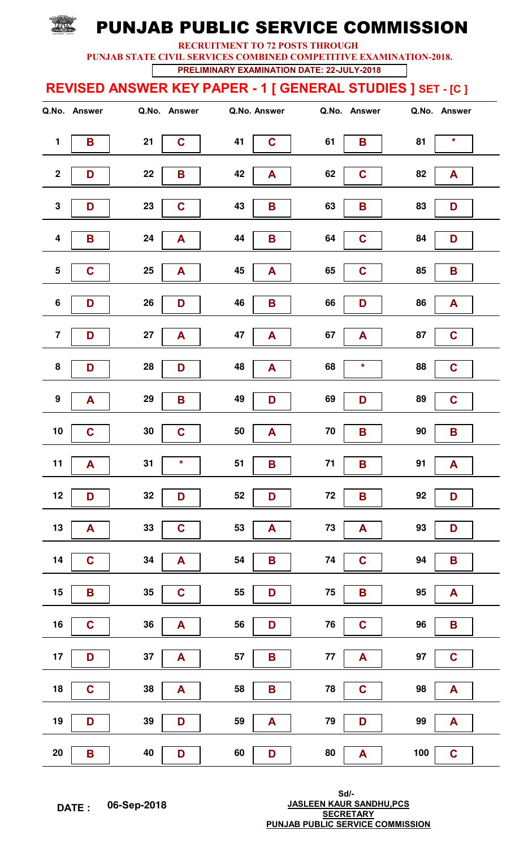RECRUITMENT TO 72 POSTS THROUGH

PUNJAB STATE CIVIL SERVICES COMBINED COMPETITIVE EXAMINATION-2018.

PRELIMINARY EXAMINATION DATE: 22-JULY-2018

### REVISED ANSWER KEY PAPER - 1 [ GENERAL STUDIES ] SET - [C ]

|                         | Q.No. Answer | Q.No. Answer               | Q.No. Answer       | Q.No. Answer                   | Q.No. Answer           |
|-------------------------|--------------|----------------------------|--------------------|--------------------------------|------------------------|
| $\mathbf{1}$            | B            | 21<br>$\mathbf C$          | 41<br>$\mathbf C$  | 61<br>B                        | $\star$<br>81          |
| $\mathbf 2$             | D            | 22<br>B                    | 42<br>A            | $\mathbf C$<br>62              | 82<br>A                |
| ${\bf 3}$               | D            | 23<br>$\mathbf C$          | 43<br>B            | 63<br>B                        | 83<br>D                |
| 4                       | B            | 24<br>$\mathbf{A}$         | 44<br>B            | 64<br>$\mathbf C$              | 84<br>D                |
| ${\bf 5}$               | $\mathbf C$  | $25\phantom{.0}$<br>A      | 45<br>A            | 65<br>$\mathbf C$              | 85<br>$\mathbf B$      |
| 6                       | D            | ${\bf 26}$<br>D            | 46<br>B            | 66<br>D                        | 86<br>A                |
| $\overline{\mathbf{7}}$ | D            | $27\,$<br>A                | 47<br>A            | 67<br>${\bf A}$                | 87<br>$\mathbf C$      |
| 8                       | D            | ${\bf 28}$<br>D            | 48<br>A            | 68<br>$\star$                  | 88<br>$\mathbf C$      |
| $\boldsymbol{9}$        | A            | 29<br>$\mathbf B$          | 49<br>D            | 69<br>D                        | 89<br>$\mathbf C$      |
| $10$                    | $\mathbf C$  | $30\,$<br>$\mathbf C$      | 50<br>A            | 70<br>B                        | $90\,$<br>B            |
| 11                      | A            | $\star$<br>31              | 51<br>$\mathbf B$  | $71$<br>B                      | 91<br>A                |
| $12$                    | D            | 32<br>D                    | 52<br>D            | ${\bf 72}$<br>B                | 92<br>D                |
| $13$                    | A            | 33<br>$\mathbf C$          | 53<br>A            | ${\bf 73}$<br>$\blacktriangle$ | 93<br>D                |
| 14                      | $\mathbf C$  | 34<br>$\mathbf{A}$         | 54<br>$\mathbf B$  | $\mathbf C$<br>74              | 94<br>B                |
| 15                      | B            | 35<br>$\mathbf C$          | 55<br>D            | ${\bf 75}$<br>B                | 95<br>$\mathsf{A}$     |
| $16$                    | $\mathbf C$  | $36\,$<br>$\blacktriangle$ | 56<br>D            | ${\bf 76}$<br>$\mathbf C$      | 96<br>B                |
| 17                      | D            | $37\,$<br>$\mathbf{A}$     | 57<br>$\mathbf B$  | 77<br>A                        | 97<br>$\mathbf C$      |
| ${\bf 18}$              | $\mathbf C$  | ${\bf 38}$<br>A            | 58<br>$\mathbf B$  | 78<br>$\mathbf C$              | 98<br>$\mathbf{A}$     |
| 19                      | D            | 39<br>D                    | 59<br>$\mathbf{A}$ | 79<br>D                        | 99<br>$\blacktriangle$ |
| ${\bf 20}$              | B            | 40<br>D                    | 60<br>D            | ${\bf 80}$<br>$\mathbf{A}$     | 100<br>$\mathbf C$     |

WINT OF